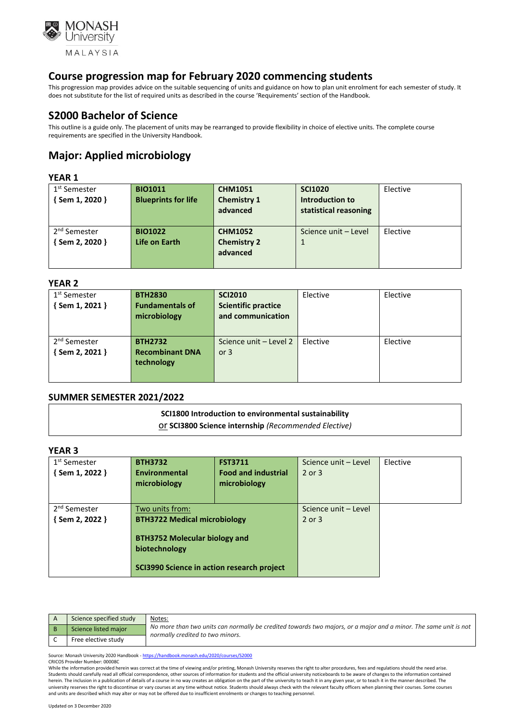

This progression map provides advice on the suitable sequencing of units and guidance on how to plan unit enrolment for each semester of study. It does not substitute for the list of required units as described in the course 'Requirements' section of the Handbook.

# **S2000 Bachelor of Science**

This outline is a guide only. The placement of units may be rearranged to provide flexibility in choice of elective units. The complete course requirements are specified in the University Handbook.

# **Major: Applied microbiology**

## **YEAR 1**

| 1 <sup>st</sup> Semester<br>$\{$ Sem 1, 2020 } | <b>BIO1011</b><br><b>Blueprints for life</b> | <b>CHM1051</b><br><b>Chemistry 1</b><br>advanced | <b>SCI1020</b><br>Introduction to<br>statistical reasoning | Elective |
|------------------------------------------------|----------------------------------------------|--------------------------------------------------|------------------------------------------------------------|----------|
| 2 <sup>nd</sup> Semester<br>{ Sem 2, 2020 }    | <b>BIO1022</b><br>Life on Earth              | <b>CHM1052</b><br><b>Chemistry 2</b><br>advanced | Science unit - Level<br>$\mathbf 1$                        | Elective |

## **YEAR 2**

| 1 <sup>st</sup> Semester<br>$\{$ Sem 1, 2021 $\}$ | <b>BTH2830</b><br><b>Fundamentals of</b><br>microbiology | <b>SCI2010</b><br><b>Scientific practice</b><br>and communication | Elective | Elective |
|---------------------------------------------------|----------------------------------------------------------|-------------------------------------------------------------------|----------|----------|
| 2 <sup>nd</sup> Semester<br>{ Sem 2, 2021 }       | <b>BTH2732</b><br><b>Recombinant DNA</b><br>technology   | Science unit - Level 2<br>or $3$                                  | Elective | Elective |

## **SUMMER SEMESTER 2021/2022**

# **SCI1800 Introduction to environmental sustainability**

or **SCI3800 Science internship** *(Recommended Elective)*

## **YEAR 3**

| 1 <sup>st</sup> Semester | <b>BTH3732</b>                             | <b>FST3711</b>             | Science unit - Level | Elective |
|--------------------------|--------------------------------------------|----------------------------|----------------------|----------|
| $\{$ Sem 1, 2022 $\}$    | Environmental                              | <b>Food and industrial</b> | 2 or 3               |          |
|                          | microbiology                               | microbiology               |                      |          |
|                          |                                            |                            |                      |          |
| 2 <sup>nd</sup> Semester | Two units from:                            |                            | Science unit - Level |          |
| $\{$ Sem 2, 2022 $\}$    | <b>BTH3722 Medical microbiology</b>        |                            | 2 or 3               |          |
|                          |                                            |                            |                      |          |
|                          | <b>BTH3752 Molecular biology and</b>       |                            |                      |          |
|                          | biotechnology                              |                            |                      |          |
|                          | SCI3990 Science in action research project |                            |                      |          |

| Science specified study | Notes:                                                                                                                                               |
|-------------------------|------------------------------------------------------------------------------------------------------------------------------------------------------|
| Science listed major    | No more than two units can normally be credited towards two majors, or a major and a minor. The same unit is not<br>normally credited to two minors. |
| Free elective study     |                                                                                                                                                      |

Source: Monash University 2020 Handbook - <https://handbook.monash.edu/2020/courses/S2000> CRICOS Provider Number: 00008C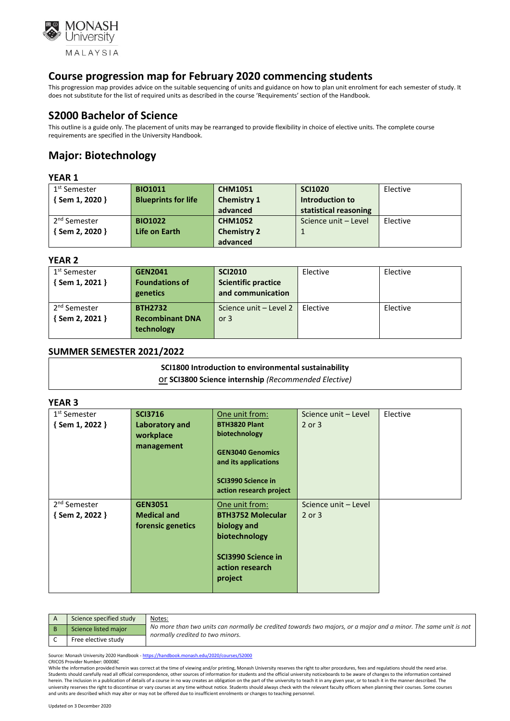

This progression map provides advice on the suitable sequencing of units and guidance on how to plan unit enrolment for each semester of study. It does not substitute for the list of required units as described in the course 'Requirements' section of the Handbook.

# **S2000 Bachelor of Science**

This outline is a guide only. The placement of units may be rearranged to provide flexibility in choice of elective units. The complete course requirements are specified in the University Handbook.

# **Major: Biotechnology**

## **YEAR 1**

| 1 <sup>st</sup> Semester | <b>BIO1011</b>             | <b>CHM1051</b>     | <b>SCI1020</b>        | Elective |
|--------------------------|----------------------------|--------------------|-----------------------|----------|
| $\{$ Sem 1, 2020 $\}$    | <b>Blueprints for life</b> | <b>Chemistry 1</b> | Introduction to       |          |
|                          |                            | advanced           | statistical reasoning |          |
| 2 <sup>nd</sup> Semester | <b>BIO1022</b>             | <b>CHM1052</b>     | Science unit - Level  | Elective |
| $\{$ Sem 2, 2020 $\}$    | Life on Earth              | <b>Chemistry 2</b> |                       |          |
|                          |                            | advanced           |                       |          |

## **YEAR 2**

| 1 <sup>st</sup> Semester | <b>GEN2041</b>         | <b>SCI2010</b>             | Elective | Elective |
|--------------------------|------------------------|----------------------------|----------|----------|
| $\{$ Sem 1, 2021 $\}$    | <b>Foundations of</b>  | <b>Scientific practice</b> |          |          |
|                          | genetics               | and communication          |          |          |
| 2 <sup>nd</sup> Semester | <b>BTH2732</b>         | Science unit - Level 2     | Elective | Elective |
| { Sem 2, 2021 }          | <b>Recombinant DNA</b> | or $3$                     |          |          |
|                          | technology             |                            |          |          |

## **SUMMER SEMESTER 2021/2022**

| SCI1800 Introduction to environmental sustainability |  |
|------------------------------------------------------|--|
| Or SCI3800 Science internship (Recommended Elective) |  |

## **YEAR 3**

| 1 <sup>st</sup> Semester | <b>SCI3716</b>     | One unit from:           | Science unit - Level | Elective |
|--------------------------|--------------------|--------------------------|----------------------|----------|
| $\{$ Sem 1, 2022 $\}$    | Laboratory and     | <b>BTH3820 Plant</b>     | 2 or 3               |          |
|                          | workplace          | biotechnology            |                      |          |
|                          | management         |                          |                      |          |
|                          |                    | <b>GEN3040 Genomics</b>  |                      |          |
|                          |                    | and its applications     |                      |          |
|                          |                    |                          |                      |          |
|                          |                    | SCI3990 Science in       |                      |          |
|                          |                    | action research project  |                      |          |
| 2 <sup>nd</sup> Semester | <b>GEN3051</b>     | One unit from:           | Science unit - Level |          |
| $\{$ Sem 2, 2022 $\}$    | <b>Medical and</b> | <b>BTH3752 Molecular</b> | 2 or 3               |          |
|                          | forensic genetics  | biology and              |                      |          |
|                          |                    | biotechnology            |                      |          |
|                          |                    |                          |                      |          |
|                          |                    | SCI3990 Science in       |                      |          |
|                          |                    | action research          |                      |          |
|                          |                    | project                  |                      |          |
|                          |                    |                          |                      |          |

| Science specified study | Notes:                                                                                                                                               |
|-------------------------|------------------------------------------------------------------------------------------------------------------------------------------------------|
| Science listed major    | No more than two units can normally be credited towards two majors, or a major and a minor. The same unit is not<br>normally credited to two minors. |
| Free elective study     |                                                                                                                                                      |

Source: Monash University 2020 Handbook - <https://handbook.monash.edu/2020/courses/S2000> CRICOS Provider Number: 00008C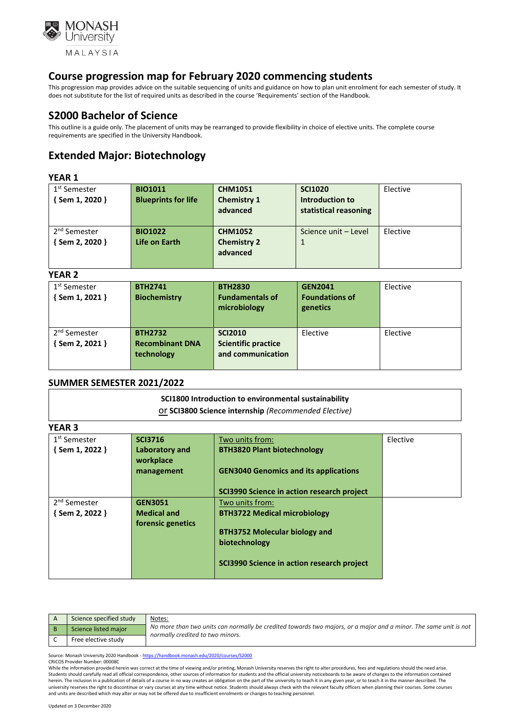

This progression map provides advice on the suitable sequencing of units and guidance on how to plan unit enrolment for each semester of study. It does not substitute for the list of required units as described in the course 'Requirements' section of the Handbook.

# **S2000 Bachelor of Science**

This outline is a guide only. The placement of units may be rearranged to provide flexibility in choice of elective units. The complete course requirements are specified in the University Handbook.

# **Extended Major: Biotechnology**

#### **YEAR 1**

| 1 <sup>st</sup> Semester<br>$\{$ Sem 1, 2020 $\}$ | <b>BIO1011</b><br><b>Blueprints for life</b> | <b>CHM1051</b><br><b>Chemistry 1</b><br>advanced | <b>SCI1020</b><br>Introduction to<br>statistical reasoning | Elective |
|---------------------------------------------------|----------------------------------------------|--------------------------------------------------|------------------------------------------------------------|----------|
| 2 <sup>nd</sup> Semester<br>{ Sem 2, 2020 }       | <b>BIO1022</b><br>Life on Earth              | <b>CHM1052</b><br><b>Chemistry 2</b><br>advanced | Science unit - Level                                       | Elective |

#### **YEAR 2**

| 1 <sup>st</sup> Semester                   | <b>BTH2741</b>                                         | <b>BTH2830</b>                                                    | <b>GEN2041</b>                    | Elective |
|--------------------------------------------|--------------------------------------------------------|-------------------------------------------------------------------|-----------------------------------|----------|
| $\{$ Sem 1, 2021 }                         | <b>Biochemistry</b>                                    | <b>Fundamentals of</b><br>microbiology                            | <b>Foundations of</b><br>genetics |          |
| 2 <sup>nd</sup> Semester<br>{Sem 2, 2021 } | <b>BTH2732</b><br><b>Recombinant DNA</b><br>technology | <b>SCI2010</b><br><b>Scientific practice</b><br>and communication | Elective                          | Elective |

## **SUMMER SEMESTER 2021/2022**

|        | SCI1800 Introduction to environmental sustainability<br>Or SCI3800 Science internship (Recommended Elective) |
|--------|--------------------------------------------------------------------------------------------------------------|
| YEAR 3 |                                                                                                              |

| 1 <sup>st</sup> Semester | <b>SCI3716</b>     | Two units from:                              | Elective |
|--------------------------|--------------------|----------------------------------------------|----------|
| {Sem 1, 2022 }           | Laboratory and     | <b>BTH3820 Plant biotechnology</b>           |          |
|                          | workplace          |                                              |          |
|                          | management         | <b>GEN3040 Genomics and its applications</b> |          |
|                          |                    |                                              |          |
|                          |                    | SCI3990 Science in action research project   |          |
| 2 <sup>nd</sup> Semester | <b>GEN3051</b>     | Two units from:                              |          |
| {Sem 2, 2022 }           | <b>Medical and</b> | <b>BTH3722 Medical microbiology</b>          |          |
|                          | forensic genetics  |                                              |          |
|                          |                    | <b>BTH3752 Molecular biology and</b>         |          |
|                          |                    | biotechnology                                |          |
|                          |                    |                                              |          |
|                          |                    | SCI3990 Science in action research project   |          |
|                          |                    |                                              |          |

| Science specified study | Notes:                                                                                                                                               |
|-------------------------|------------------------------------------------------------------------------------------------------------------------------------------------------|
| Science listed major    | No more than two units can normally be credited towards two majors, or a major and a minor. The same unit is not<br>normally credited to two minors. |
| Free elective study     |                                                                                                                                                      |

Source: Monash University 2020 Handbook - <https://handbook.monash.edu/2020/courses/S2000> CRICOS Provider Number: 00008C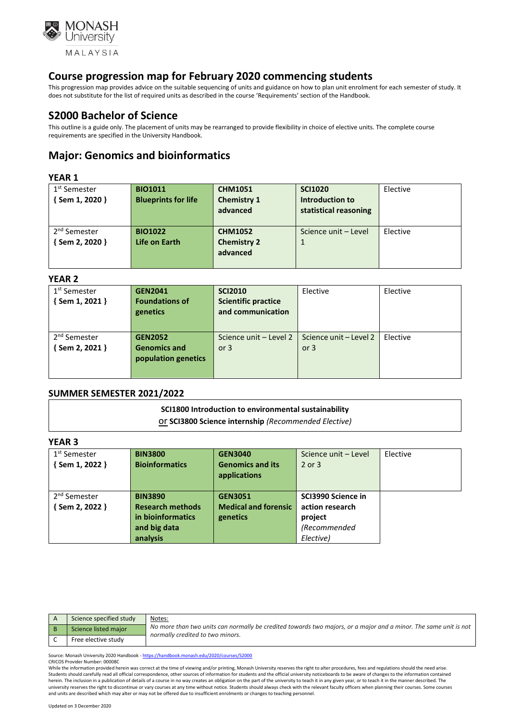

This progression map provides advice on the suitable sequencing of units and guidance on how to plan unit enrolment for each semester of study. It does not substitute for the list of required units as described in the course 'Requirements' section of the Handbook.

# **S2000 Bachelor of Science**

This outline is a guide only. The placement of units may be rearranged to provide flexibility in choice of elective units. The complete course requirements are specified in the University Handbook.

# **Major: Genomics and bioinformatics**

## **YEAR 1**

| 1 <sup>st</sup> Semester<br>$\{$ Sem 1, 2020 $\}$ | <b>BIO1011</b><br><b>Blueprints for life</b> | <b>CHM1051</b><br><b>Chemistry 1</b><br>advanced | <b>SCI1020</b><br>Introduction to<br>statistical reasoning | Elective |
|---------------------------------------------------|----------------------------------------------|--------------------------------------------------|------------------------------------------------------------|----------|
| 2 <sup>nd</sup> Semester<br>{ Sem 2, 2020 }       | <b>BIO1022</b><br>Life on Earth              | <b>CHM1052</b><br><b>Chemistry 2</b><br>advanced | Science unit - Level                                       | Elective |

#### **YEAR 2**

| 1 <sup>st</sup> Semester | <b>GEN2041</b>        | <b>SCI2010</b>             | Elective               | Elective |
|--------------------------|-----------------------|----------------------------|------------------------|----------|
| $\{$ Sem 1, 2021 }       | <b>Foundations of</b> | <b>Scientific practice</b> |                        |          |
|                          | genetics              | and communication          |                        |          |
|                          |                       |                            |                        |          |
|                          |                       |                            |                        |          |
| 2 <sup>nd</sup> Semester | <b>GEN2052</b>        | Science unit - Level 2     | Science unit - Level 2 | Elective |
| {Sem 2, 2021 }           | <b>Genomics and</b>   | or $3$                     | or $3$                 |          |
|                          | population genetics   |                            |                        |          |
|                          |                       |                            |                        |          |
|                          |                       |                            |                        |          |

## **SUMMER SEMESTER 2021/2022**

#### **SCI1800 Introduction to environmental sustainability**

or **SCI3800 Science internship** *(Recommended Elective)*

| <b>YEAR 3</b>            |                         |                             |                      |          |
|--------------------------|-------------------------|-----------------------------|----------------------|----------|
| 1 <sup>st</sup> Semester | <b>BIN3800</b>          | <b>GEN3040</b>              | Science unit - Level | Elective |
| {Sem 1, 2022 }           | <b>Bioinformatics</b>   | <b>Genomics and its</b>     | 2 or 3               |          |
|                          |                         | applications                |                      |          |
|                          |                         |                             |                      |          |
| 2 <sup>nd</sup> Semester | <b>BIN3890</b>          | <b>GEN3051</b>              | SCI3990 Science in   |          |
| {Sem 2, 2022 }           | <b>Research methods</b> | <b>Medical and forensic</b> | action research      |          |
|                          | in bioinformatics       | genetics                    | project              |          |
|                          | and big data            |                             | (Recommended         |          |
|                          | analysis                |                             | Elective)            |          |

| Science specified study | Notes:                                                                                                                                               |
|-------------------------|------------------------------------------------------------------------------------------------------------------------------------------------------|
| Science listed major    | No more than two units can normally be credited towards two majors, or a major and a minor. The same unit is not<br>normally credited to two minors. |
| Free elective study     |                                                                                                                                                      |

Source: Monash University 2020 Handbook - <https://handbook.monash.edu/2020/courses/S2000> CRICOS Provider Number: 00008C

While the information provided herein was correct at the time of viewing and/or printing, Monash University reserves the right to alter procedures, fees and regulations should the need arise. Students should carefully read all official correspondence, other sources of information for students and the official university noticeboards to be aware of changes to the information contained herein. The inclusion in a publication of details of a course in no way creates an obligation on the part of the university to teach it in any given year, or to teach it in the manner described. The university reserves the right to discontinue or vary courses at any time without notice. Students should always check with the relevant faculty officers when planning their courses. Some courses and units are described which may alter or may not be offered due to insufficient enrolments or changes to teaching personnel.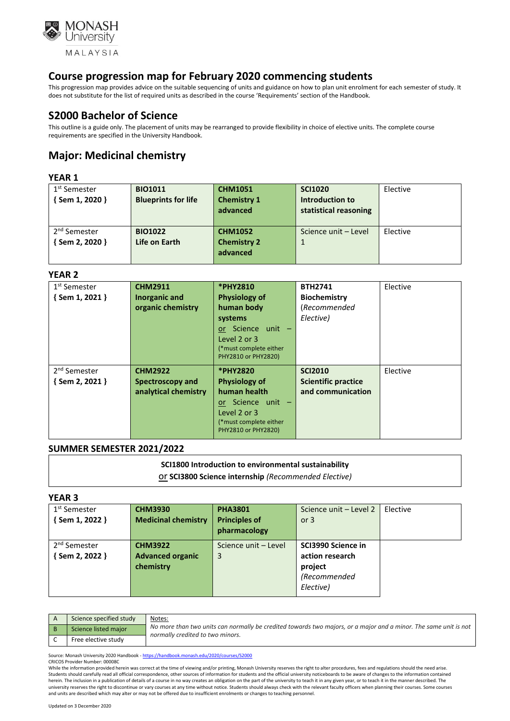

This progression map provides advice on the suitable sequencing of units and guidance on how to plan unit enrolment for each semester of study. It does not substitute for the list of required units as described in the course 'Requirements' section of the Handbook.

# **S2000 Bachelor of Science**

This outline is a guide only. The placement of units may be rearranged to provide flexibility in choice of elective units. The complete course requirements are specified in the University Handbook.

# **Major: Medicinal chemistry**

## **YEAR 1**

| 1 <sup>st</sup> Semester | <b>BIO1011</b>             | <b>CHM1051</b>     | <b>SCI1020</b>        | Elective |
|--------------------------|----------------------------|--------------------|-----------------------|----------|
| $\{$ Sem 1, 2020 $\}$    | <b>Blueprints for life</b> | <b>Chemistry 1</b> | Introduction to       |          |
|                          |                            | advanced           | statistical reasoning |          |
|                          |                            |                    |                       |          |
| 2 <sup>nd</sup> Semester | <b>BIO1022</b>             | <b>CHM1052</b>     | Science unit - Level  | Elective |
| Sem 2, 2020 }            | Life on Earth              | <b>Chemistry 2</b> |                       |          |
|                          |                            | advanced           |                       |          |
|                          |                            |                    |                       |          |

#### **YEAR 2**

| 1 <sup>st</sup> Semester | <b>CHM2911</b>       | *PHY2810               | <b>BTH2741</b>             | Elective |
|--------------------------|----------------------|------------------------|----------------------------|----------|
| $\{$ Sem 1, 2021 }       | Inorganic and        | <b>Physiology of</b>   | <b>Biochemistry</b>        |          |
|                          | organic chemistry    | human body             | (Recommended               |          |
|                          |                      | systems                | Elective)                  |          |
|                          |                      | or Science unit -      |                            |          |
|                          |                      | Level 2 or 3           |                            |          |
|                          |                      | (*must complete either |                            |          |
|                          |                      | PHY2810 or PHY2820)    |                            |          |
| 2 <sup>nd</sup> Semester | <b>CHM2922</b>       | *PHY2820               | <b>SCI2010</b>             | Elective |
| $\{$ Sem 2, 2021 $\}$    | Spectroscopy and     | <b>Physiology of</b>   | <b>Scientific practice</b> |          |
|                          | analytical chemistry | human health           | and communication          |          |
|                          |                      | or Science unit -      |                            |          |
|                          |                      | Level 2 or 3           |                            |          |
|                          |                      | (*must complete either |                            |          |
|                          |                      | PHY2810 or PHY2820)    |                            |          |

## **SUMMER SEMESTER 2021/2022**

## **SCI1800 Introduction to environmental sustainability**

or **SCI3800 Science internship** *(Recommended Elective)*

## **YEAR 3**

| 1 <sup>st</sup> Semester<br>{Sem 1, 2022 } | <b>CHM3930</b><br><b>Medicinal chemistry</b>           | <b>PHA3801</b><br><b>Principles of</b><br>pharmacology | Science unit - Level 2<br>or $3$                                              | Elective |
|--------------------------------------------|--------------------------------------------------------|--------------------------------------------------------|-------------------------------------------------------------------------------|----------|
| 2 <sup>nd</sup> Semester<br>{Sem 2, 2022 } | <b>CHM3922</b><br><b>Advanced organic</b><br>chemistry | Science unit - Level<br>3                              | SCI3990 Science in<br>action research<br>project<br>(Recommended<br>Elective) |          |

| Science specified study | Notes:                                                                                                                                               |
|-------------------------|------------------------------------------------------------------------------------------------------------------------------------------------------|
| Science listed major    | No more than two units can normally be credited towards two majors, or a major and a minor. The same unit is not<br>normally credited to two minors. |
| Free elective study     |                                                                                                                                                      |

Source: Monash University 2020 Handbook - <https://handbook.monash.edu/2020/courses/S2000> CRICOS Provider Number: 00008C

While the information provided herein was correct at the time of viewing and/or printing, Monash University reserves the right to alter procedures, fees and regulations should the need arise. Students should carefully read all official correspondence, other sources of information for students and the official university noticeboards to be aware of changes to the information contained herein. The inclusion in a publication of details of a course in no way creates an obligation on the part of the university to teach it in any given year, or to teach it in the manner described. The university reserves the right to discontinue or vary courses at any time without notice. Students should always check with the relevant faculty officers when planning their courses. Some courses and units are described which may alter or may not be offered due to insufficient enrolments or changes to teaching personnel.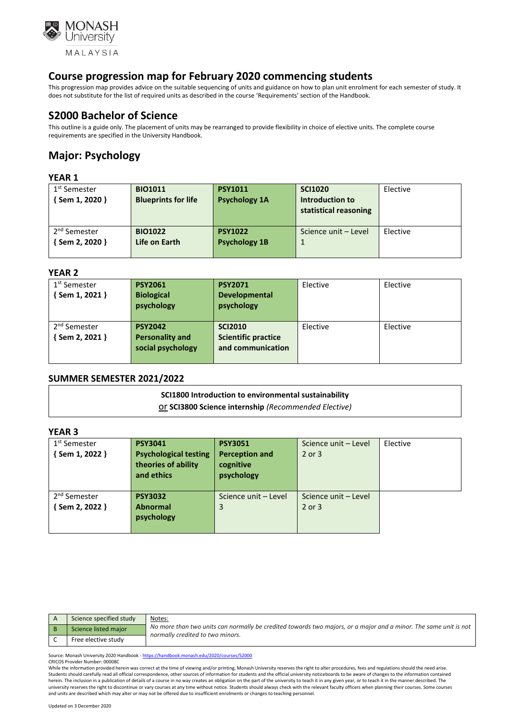

This progression map provides advice on the suitable sequencing of units and guidance on how to plan unit enrolment for each semester of study. It does not substitute for the list of required units as described in the course 'Requirements' section of the Handbook.

# **S2000 Bachelor of Science**

This outline is a guide only. The placement of units may be rearranged to provide flexibility in choice of elective units. The complete course requirements are specified in the University Handbook.

# **Major: Psychology**

## **YEAR 1**

| 1 <sup>st</sup> Semester<br>$\{$ Sem 1, 2020 $\}$ | <b>BIO1011</b><br><b>Blueprints for life</b> | <b>PSY1011</b><br><b>Psychology 1A</b> | <b>SCI1020</b><br>Introduction to<br>statistical reasoning | Elective |
|---------------------------------------------------|----------------------------------------------|----------------------------------------|------------------------------------------------------------|----------|
| 2 <sup>nd</sup> Semester<br>Sem 2, 2020 }         | <b>BIO1022</b><br>Life on Earth              | <b>PSY1022</b><br><b>Psychology 1B</b> | Science unit - Level                                       | Elective |

#### **YEAR 2**

| 1 <sup>st</sup> Semester<br>$\{$ Sem 1, 2021 $\}$ | <b>PSY2061</b><br><b>Biological</b><br>psychology             | <b>PSY2071</b><br>Developmental<br>psychology                     | Elective | Elective |
|---------------------------------------------------|---------------------------------------------------------------|-------------------------------------------------------------------|----------|----------|
| 2 <sup>nd</sup> Semester<br>{Sem 2, 2021 }        | <b>PSY2042</b><br><b>Personality and</b><br>social psychology | <b>SCI2010</b><br><b>Scientific practice</b><br>and communication | Elective | Elective |

## **SUMMER SEMESTER 2021/2022**

#### **SCI1800 Introduction to environmental sustainability**

or **SCI3800 Science internship** *(Recommended Elective)*

## **YEAR 3**

| 1 <sup>st</sup> Semester<br>{Sem 1, 2022 } | <b>PSY3041</b><br><b>Psychological testing</b><br>theories of ability<br>and ethics | <b>PSY3051</b><br><b>Perception and</b><br>cognitive<br>psychology | Science unit - Level<br>2 or 3 | Elective |
|--------------------------------------------|-------------------------------------------------------------------------------------|--------------------------------------------------------------------|--------------------------------|----------|
| 2 <sup>nd</sup> Semester<br>{Sem 2, 2022 } | <b>PSY3032</b><br><b>Abnormal</b><br>psychology                                     | Science unit - Level<br>3                                          | Science unit - Level<br>2 or 3 |          |

|     | Science specified study | Notes:                                                                                                                                               |
|-----|-------------------------|------------------------------------------------------------------------------------------------------------------------------------------------------|
| l B | Science listed major    | No more than two units can normally be credited towards two majors, or a major and a minor. The same unit is not<br>normally credited to two minors. |
|     | Free elective study     |                                                                                                                                                      |

Source: Monash University 2020 Handbook - <https://handbook.monash.edu/2020/courses/S2000> CRICOS Provider Number: 00008C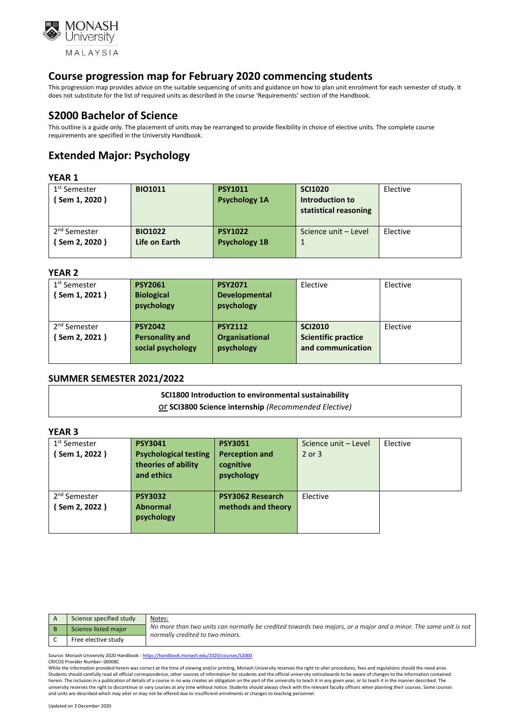

This progression map provides advice on the suitable sequencing of units and guidance on how to plan unit enrolment for each semester of study. It does not substitute for the list of required units as described in the course 'Requirements' section of the Handbook.

# **S2000 Bachelor of Science**

This outline is a guide only. The placement of units may be rearranged to provide flexibility in choice of elective units. The complete course requirements are specified in the University Handbook.

# **Extended Major: Psychology**

## **YEAR 1**

| 1 <sup>st</sup> Semester<br>$\{$ Sem 1, 2020 }    | <b>BIO1011</b>                  | <b>PSY1011</b><br><b>Psychology 1A</b> | <b>SCI1020</b><br>Introduction to<br>statistical reasoning | Elective |
|---------------------------------------------------|---------------------------------|----------------------------------------|------------------------------------------------------------|----------|
| 2 <sup>nd</sup> Semester<br>$\{$ Sem 2, 2020 $\}$ | <b>BIO1022</b><br>Life on Earth | <b>PSY1022</b><br><b>Psychology 1B</b> | Science unit - Level                                       | Elective |

#### **YEAR 2**

| 1 <sup>st</sup> Semester<br>$\{$ Sem 1, 2021 $\}$ | <b>PSY2061</b><br><b>Biological</b><br>psychology | <b>PSY2071</b><br><b>Developmental</b><br>psychology | Elective                                        | Elective |
|---------------------------------------------------|---------------------------------------------------|------------------------------------------------------|-------------------------------------------------|----------|
| 2 <sup>nd</sup> Semester                          | <b>PSY2042</b>                                    | <b>PSY2112</b>                                       | <b>SCI2010</b>                                  | Elective |
| Sem 2, 2021 }                                     | <b>Personality and</b><br>social psychology       | Organisational<br>psychology                         | <b>Scientific practice</b><br>and communication |          |

## **SUMMER SEMESTER 2021/2022**

#### **SCI1800 Introduction to environmental sustainability**

or **SCI3800 Science internship** *(Recommended Elective)*

## **YEAR 3**

| 1 <sup>st</sup> Semester | <b>PSY3041</b>               | <b>PSY3051</b>        | Science unit - Level | Elective |
|--------------------------|------------------------------|-----------------------|----------------------|----------|
| {Sem 1, 2022 }           | <b>Psychological testing</b> | <b>Perception and</b> | 2 or 3               |          |
|                          | theories of ability          | cognitive             |                      |          |
|                          | and ethics                   | psychology            |                      |          |
|                          |                              |                       |                      |          |
| 2 <sup>nd</sup> Semester | <b>PSY3032</b>               | PSY3062 Research      | Elective             |          |
| { Sem 2, 2022 }          | <b>Abnormal</b>              | methods and theory    |                      |          |
|                          | psychology                   |                       |                      |          |
|                          |                              |                       |                      |          |

| Science specified study | Notes:                                                                                                                                               |
|-------------------------|------------------------------------------------------------------------------------------------------------------------------------------------------|
| Science listed major    | No more than two units can normally be credited towards two majors, or a major and a minor. The same unit is not<br>normally credited to two minors. |
| Free elective study     |                                                                                                                                                      |

Source: Monash University 2020 Handbook - <https://handbook.monash.edu/2020/courses/S2000> CRICOS Provider Number: 00008C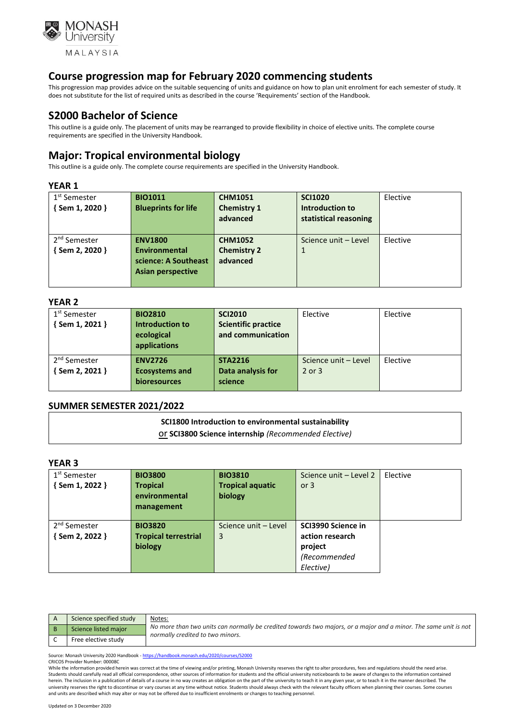

This progression map provides advice on the suitable sequencing of units and guidance on how to plan unit enrolment for each semester of study. It does not substitute for the list of required units as described in the course 'Requirements' section of the Handbook.

# **S2000 Bachelor of Science**

This outline is a guide only. The placement of units may be rearranged to provide flexibility in choice of elective units. The complete course requirements are specified in the University Handbook.

# **Major: Tropical environmental biology**

This outline is a guide only. The complete course requirements are specified in the University Handbook.

#### **YEAR 1**

| 1 <sup>st</sup> Semester | <b>BIO1011</b>             | <b>CHM1051</b>     | <b>SCI1020</b>        | Elective |
|--------------------------|----------------------------|--------------------|-----------------------|----------|
| $\{$ Sem 1, 2020 }       | <b>Blueprints for life</b> | <b>Chemistry 1</b> | Introduction to       |          |
|                          |                            | advanced           | statistical reasoning |          |
|                          |                            |                    |                       |          |
| 2 <sup>nd</sup> Semester | <b>ENV1800</b>             | <b>CHM1052</b>     | Science unit - Level  | Elective |
| { Sem 2, 2020 }          | Environmental              | <b>Chemistry 2</b> | 1                     |          |
|                          | science: A Southeast       | advanced           |                       |          |
|                          | Asian perspective          |                    |                       |          |
|                          |                            |                    |                       |          |

#### **YEAR 2**

| 1 <sup>st</sup> Semester<br>$\{$ Sem 1, 2021 $\}$ | <b>BIO2810</b><br><b>Introduction to</b><br>ecological<br>applications | <b>SCI2010</b><br><b>Scientific practice</b><br>and communication | Elective                       | Elective |
|---------------------------------------------------|------------------------------------------------------------------------|-------------------------------------------------------------------|--------------------------------|----------|
| 2 <sup>nd</sup> Semester<br>$\{$ Sem 2, 2021 $\}$ | <b>ENV2726</b><br><b>Ecosystems and</b><br><b>bioresources</b>         | <b>STA2216</b><br>Data analysis for<br>science                    | Science unit - Level<br>2 or 3 | Elective |

## **SUMMER SEMESTER 2021/2022**

#### **SCI1800 Introduction to environmental sustainability**

or **SCI3800 Science internship** *(Recommended Elective)*

## **YEAR 3**

| 1 <sup>st</sup> Semester | <b>BIO3800</b>              | <b>BIO3810</b>          | Science unit - Level 2 | Elective |
|--------------------------|-----------------------------|-------------------------|------------------------|----------|
| {Sem 1, 2022 }           | <b>Tropical</b>             | <b>Tropical aquatic</b> | or $3$                 |          |
|                          | environmental               | biology                 |                        |          |
|                          | management                  |                         |                        |          |
|                          |                             |                         |                        |          |
| 2 <sup>nd</sup> Semester | <b>BIO3820</b>              | Science unit - Level    | SCI3990 Science in     |          |
| {Sem 2, 2022 }           | <b>Tropical terrestrial</b> | 3                       | action research        |          |
|                          | biology                     |                         | project                |          |
|                          |                             |                         | (Recommended           |          |
|                          |                             |                         | Elective)              |          |

|     | Science specified study | Notes:                                                                                                                                               |
|-----|-------------------------|------------------------------------------------------------------------------------------------------------------------------------------------------|
| l B | Science listed major    | No more than two units can normally be credited towards two majors, or a major and a minor. The same unit is not<br>normally credited to two minors. |
|     | Free elective study     |                                                                                                                                                      |

Source: Monash University 2020 Handbook - <https://handbook.monash.edu/2020/courses/S2000> CRICOS Provider Number: 00008C